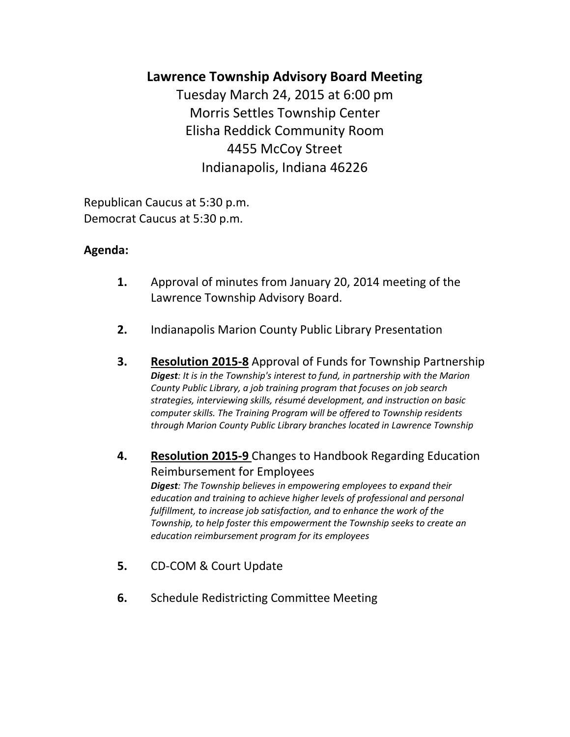# **Lawrence Township Advisory Board Meeting**

Tuesday March 24, 2015 at 6:00 pm Morris Settles Township Center Elisha Reddick Community Room 4455 McCoy Street Indianapolis, Indiana 46226

Republican Caucus at 5:30 p.m. Democrat Caucus at 5:30 p.m.

## **Agenda:**

- **1.** Approval of minutes from January 20, 2014 meeting of the Lawrence Township Advisory Board.
- **2.** Indianapolis Marion County Public Library Presentation
- **3. Resolution 2015-8** Approval of Funds for Township Partnership *Digest: It is in the Township's interest to fund, in partnership with the Marion County Public Library, a job training program that focuses on job search strategies, interviewing skills, résumé development, and instruction on basic computer skills. The Training Program will be offered to Township residents through Marion County Public Library branches located in Lawrence Township*
- **4. Resolution 2015-9** Changes to Handbook Regarding Education Reimbursement for Employees

*Digest: The Township believes in empowering employees to expand their education and training to achieve higher levels of professional and personal fulfillment, to increase job satisfaction, and to enhance the work of the Township, to help foster this empowerment the Township seeks to create an education reimbursement program for its employees*

- **5.** CD-COM & Court Update
- **6.** Schedule Redistricting Committee Meeting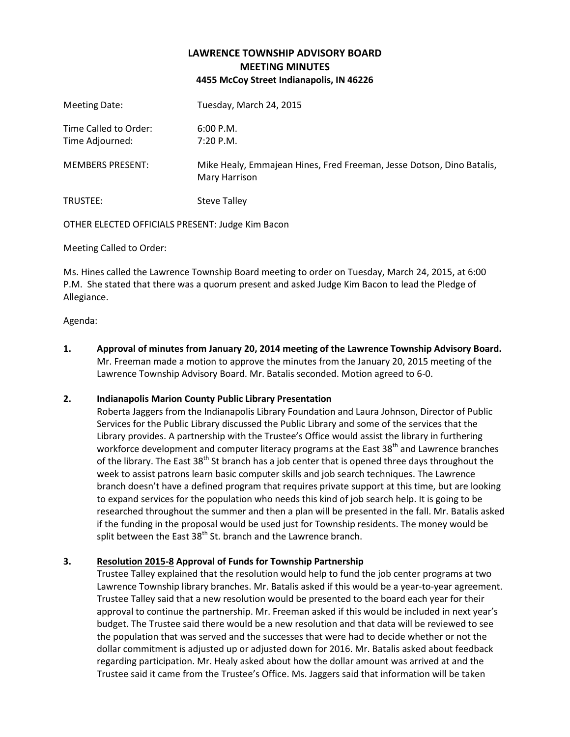### **LAWRENCE TOWNSHIP ADVISORY BOARD MEETING MINUTES 4455 McCoy Street Indianapolis, IN 46226**

| Meeting Date:                            | Tuesday, March 24, 2015                                                                |
|------------------------------------------|----------------------------------------------------------------------------------------|
| Time Called to Order:<br>Time Adjourned: | 6:00 P.M.<br>7:20 P.M.                                                                 |
| <b>MEMBERS PRESENT:</b>                  | Mike Healy, Emmajean Hines, Fred Freeman, Jesse Dotson, Dino Batalis,<br>Mary Harrison |
| TRUSTEE:                                 | <b>Steve Talley</b>                                                                    |

OTHER ELECTED OFFICIALS PRESENT: Judge Kim Bacon

Meeting Called to Order:

Ms. Hines called the Lawrence Township Board meeting to order on Tuesday, March 24, 2015, at 6:00 P.M. She stated that there was a quorum present and asked Judge Kim Bacon to lead the Pledge of Allegiance.

Agenda:

**1. Approval of minutes from January 20, 2014 meeting of the Lawrence Township Advisory Board.** Mr. Freeman made a motion to approve the minutes from the January 20, 2015 meeting of the Lawrence Township Advisory Board. Mr. Batalis seconded. Motion agreed to 6-0.

#### **2. Indianapolis Marion County Public Library Presentation**

Roberta Jaggers from the Indianapolis Library Foundation and Laura Johnson, Director of Public Services for the Public Library discussed the Public Library and some of the services that the Library provides. A partnership with the Trustee's Office would assist the library in furthering workforce development and computer literacy programs at the East 38<sup>th</sup> and Lawrence branches of the library. The East 38<sup>th</sup> St branch has a job center that is opened three days throughout the week to assist patrons learn basic computer skills and job search techniques. The Lawrence branch doesn't have a defined program that requires private support at this time, but are looking to expand services for the population who needs this kind of job search help. It is going to be researched throughout the summer and then a plan will be presented in the fall. Mr. Batalis asked if the funding in the proposal would be used just for Township residents. The money would be split between the East 38<sup>th</sup> St. branch and the Lawrence branch.

#### **3. Resolution 2015-8 Approval of Funds for Township Partnership**

Trustee Talley explained that the resolution would help to fund the job center programs at two Lawrence Township library branches. Mr. Batalis asked if this would be a year-to-year agreement. Trustee Talley said that a new resolution would be presented to the board each year for their approval to continue the partnership. Mr. Freeman asked if this would be included in next year's budget. The Trustee said there would be a new resolution and that data will be reviewed to see the population that was served and the successes that were had to decide whether or not the dollar commitment is adjusted up or adjusted down for 2016. Mr. Batalis asked about feedback regarding participation. Mr. Healy asked about how the dollar amount was arrived at and the Trustee said it came from the Trustee's Office. Ms. Jaggers said that information will be taken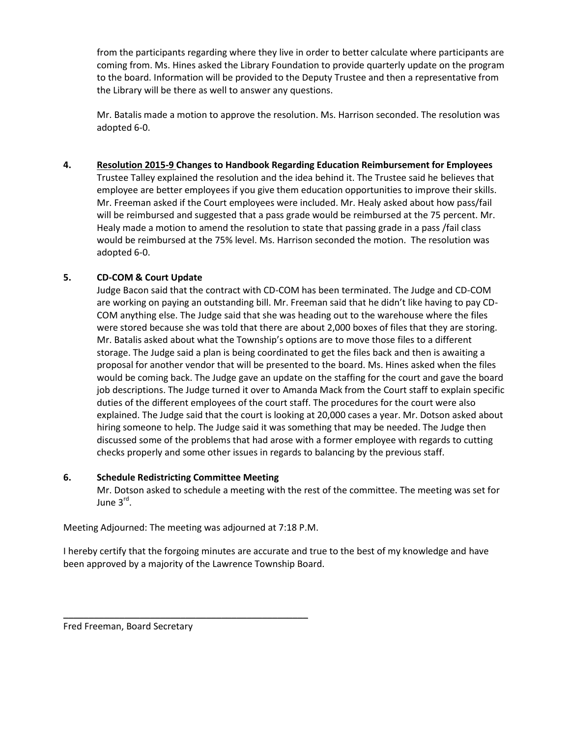from the participants regarding where they live in order to better calculate where participants are coming from. Ms. Hines asked the Library Foundation to provide quarterly update on the program to the board. Information will be provided to the Deputy Trustee and then a representative from the Library will be there as well to answer any questions.

Mr. Batalis made a motion to approve the resolution. Ms. Harrison seconded. The resolution was adopted 6-0.

**4. Resolution 2015-9 Changes to Handbook Regarding Education Reimbursement for Employees** Trustee Talley explained the resolution and the idea behind it. The Trustee said he believes that employee are better employees if you give them education opportunities to improve their skills. Mr. Freeman asked if the Court employees were included. Mr. Healy asked about how pass/fail will be reimbursed and suggested that a pass grade would be reimbursed at the 75 percent. Mr. Healy made a motion to amend the resolution to state that passing grade in a pass /fail class would be reimbursed at the 75% level. Ms. Harrison seconded the motion. The resolution was adopted 6-0.

#### **5. CD-COM & Court Update**

Judge Bacon said that the contract with CD-COM has been terminated. The Judge and CD-COM are working on paying an outstanding bill. Mr. Freeman said that he didn't like having to pay CD-COM anything else. The Judge said that she was heading out to the warehouse where the files were stored because she was told that there are about 2,000 boxes of files that they are storing. Mr. Batalis asked about what the Township's options are to move those files to a different storage. The Judge said a plan is being coordinated to get the files back and then is awaiting a proposal for another vendor that will be presented to the board. Ms. Hines asked when the files would be coming back. The Judge gave an update on the staffing for the court and gave the board job descriptions. The Judge turned it over to Amanda Mack from the Court staff to explain specific duties of the different employees of the court staff. The procedures for the court were also explained. The Judge said that the court is looking at 20,000 cases a year. Mr. Dotson asked about hiring someone to help. The Judge said it was something that may be needed. The Judge then discussed some of the problems that had arose with a former employee with regards to cutting checks properly and some other issues in regards to balancing by the previous staff.

#### **6. Schedule Redistricting Committee Meeting**

Mr. Dotson asked to schedule a meeting with the rest of the committee. The meeting was set for June 3<sup>rd</sup>.

Meeting Adjourned: The meeting was adjourned at 7:18 P.M.

\_\_\_\_\_\_\_\_\_\_\_\_\_\_\_\_\_\_\_\_\_\_\_\_\_\_\_\_\_\_\_\_\_\_\_\_\_\_\_\_\_\_\_\_\_\_\_\_

I hereby certify that the forgoing minutes are accurate and true to the best of my knowledge and have been approved by a majority of the Lawrence Township Board.

Fred Freeman, Board Secretary